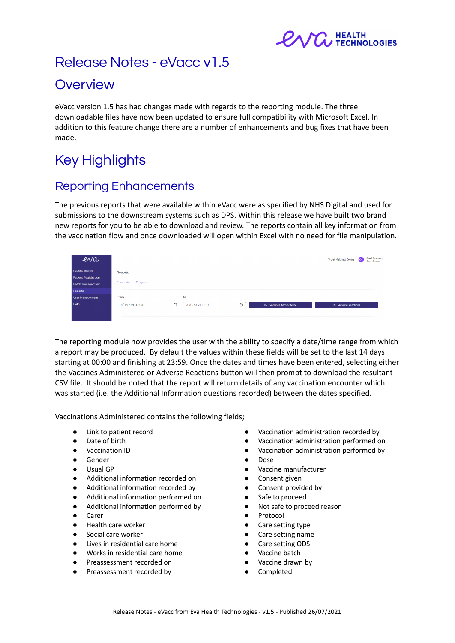

# Release Notes - eVacc v1.5

# **Overview**

eVacc version 1.5 has had changes made with regards to the reporting module. The three downloadable files have now been updated to ensure full compatibility with Microsoft Excel. In addition to this feature change there are a number of enhancements and bug fixes that have been made.

# Key Highlights

## Reporting Enhancements

The previous reports that were available within eVacc were as specified by NHS Digital and used for submissions to the downstream systems such as DPS. Within this release we have built two brand new reports for you to be able to download and review. The reports contain all key information from the vaccination flow and once downloaded will open within Excel with no need for file manipulation.

| eva                         |                               |                            |                                | Carol Caterson<br>Violet Melchett Centre<br> cc <br>Clinic Manager |
|-----------------------------|-------------------------------|----------------------------|--------------------------------|--------------------------------------------------------------------|
| <b>Patient Search</b>       | Reports                       |                            |                                |                                                                    |
| <b>Patient Registration</b> |                               |                            |                                |                                                                    |
| <b>Batch Management</b>     | <b>Encounters in Progress</b> |                            |                                |                                                                    |
| Reports                     |                               |                            |                                |                                                                    |
| User Management             | From                          | To                         |                                |                                                                    |
| Help                        | $\Box$<br>01/07/2021 00:00    | 20/07/2021 23:59<br>$\Box$ | <b>B</b> Vaccines Administered | <b>B</b> . Adverse Reactions                                       |
|                             |                               |                            |                                |                                                                    |
|                             |                               |                            |                                |                                                                    |

The reporting module now provides the user with the ability to specify a date/time range from which a report may be produced. By default the values within these fields will be set to the last 14 days starting at 00:00 and finishing at 23:59. Once the dates and times have been entered, selecting either the Vaccines Administered or Adverse Reactions button will then prompt to download the resultant CSV file. It should be noted that the report will return details of any vaccination encounter which was started (i.e. the Additional Information questions recorded) between the dates specified.

Vaccinations Administered contains the following fields;

- Link to patient record
- Date of birth
- **Vaccination ID**
- Gender
- Usual GP
- Additional information recorded on
- Additional information recorded by
- Additional information performed on
- Additional information performed by
- Carer
- Health care worker
- Social care worker
- Lives in residential care home
- Works in residential care home
- Preassessment recorded on
- Preassessment recorded by
- Vaccination administration recorded by
- Vaccination administration performed on
- Vaccination administration performed by
- Dose
- Vaccine manufacturer
- Consent given
- Consent provided by
- Safe to proceed
- Not safe to proceed reason
- Protocol
- Care setting type
- Care setting name
- Care setting ODS
- Vaccine batch
- Vaccine drawn by
- Completed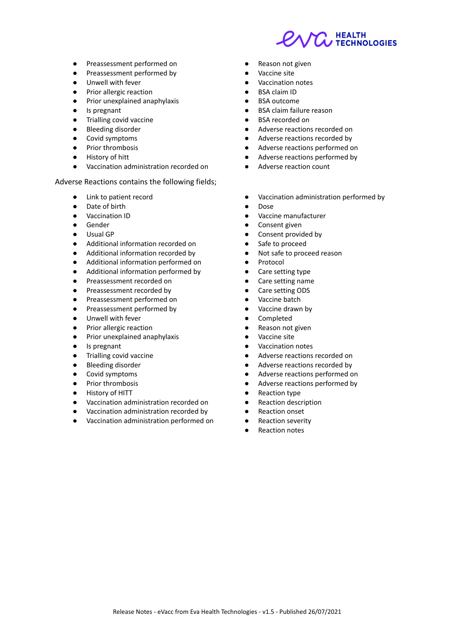**HEALTH TECHNOLOGIES** 

- Preassessment performed on
- Preassessment performed by
- Unwell with fever
- Prior allergic reaction
- Prior unexplained anaphylaxis
- Is pregnant
- Trialling covid vaccine
- **Bleeding disorder**
- Covid symptoms
- Prior thrombosis
- History of hitt
- Vaccination administration recorded on

#### Adverse Reactions contains the following fields;

- Link to patient record
- Date of birth
- Vaccination ID
- **Gender**
- Usual GP
- Additional information recorded on
- Additional information recorded by
- Additional information performed on
- Additional information performed by
- Preassessment recorded on
- Preassessment recorded by
- Preassessment performed on
- Preassessment performed by
- Unwell with fever
- Prior allergic reaction
- Prior unexplained anaphylaxis
- Is pregnant
- Trialling covid vaccine
- Bleeding disorder
- Covid symptoms
- Prior thrombosis
- **History of HITT**
- Vaccination administration recorded on
- Vaccination administration recorded by
- Vaccination administration performed on
- Reason not given
- Vaccine site
- Vaccination notes
- **BSA claim ID**
- **BSA outcome**
- **BSA claim failure reason**
- **BSA** recorded on
- Adverse reactions recorded on
- Adverse reactions recorded by
- Adverse reactions performed on
- Adverse reactions performed by
- Adverse reaction count
- Vaccination administration performed by
- Dose
- Vaccine manufacturer
- Consent given
- Consent provided by
- Safe to proceed
- Not safe to proceed reason
- Protocol
- Care setting type
- Care setting name
- Care setting ODS
- Vaccine batch
- Vaccine drawn by
- Completed
- Reason not given
- Vaccine site
- Vaccination notes
- Adverse reactions recorded on
- Adverse reactions recorded by
- Adverse reactions performed on
- Adverse reactions performed by
- Reaction type
- Reaction description
- Reaction onset
- Reaction severity
- Reaction notes